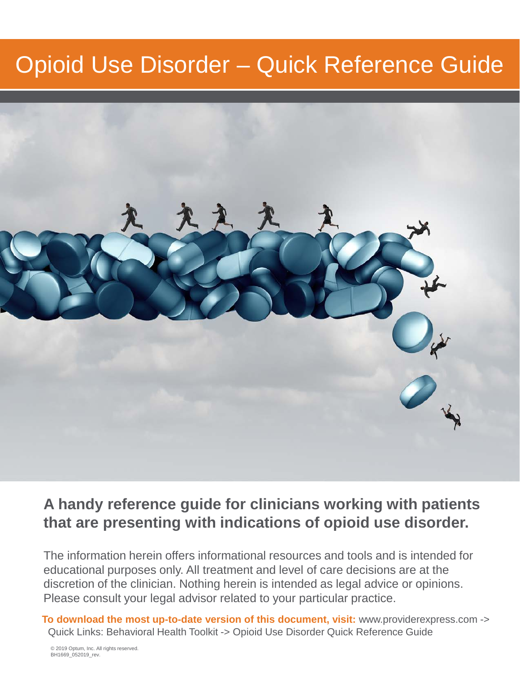## Opioid Use Disorder – Quick Reference Guide



## **A handy reference guide for clinicians working with patients that are presenting with indications of opioid use disorder.**

The information herein offers informational resources and tools and is intended for educational purposes only. All treatment and level of care decisions are at the discretion of the clinician. Nothing herein is intended as legal advice or opinions. Please consult your legal advisor related to your particular practice.

**To download the most up-to-date version of this document, visit:** www.providerexpress.com -> Quick Links: Behavioral Health Toolkit -> Opioid Use Disorder Quick Reference Guide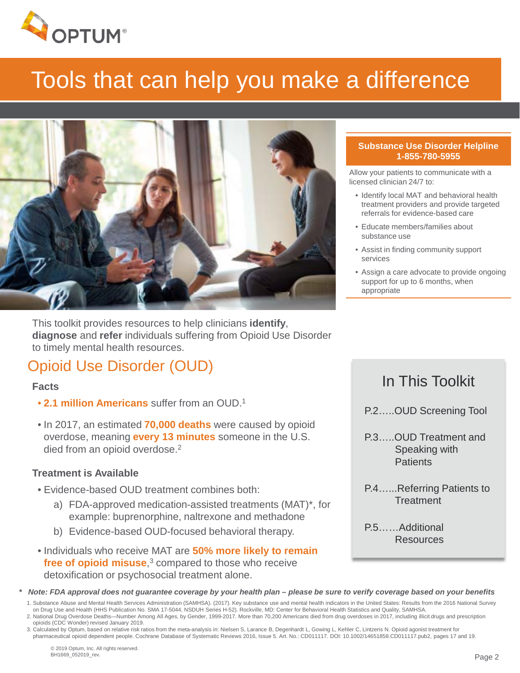

# Tools that can help you make a difference



This toolkit provides resources to help clinicians **identify**, **diagnose** and **refer** individuals suffering from Opioid Use Disorder to timely mental health resources.

## Opioid Use Disorder (OUD)

#### **Facts**

- **2.1 million Americans** suffer from an OUD.1
- In 2017, an estimated **70,000 deaths** were caused by opioid overdose, meaning **every 13 minutes** someone in the U.S. died from an opioid overdose.<sup>2</sup>

#### **Treatment is Available**

- Evidence-based OUD treatment combines both:
	- a) FDA-approved medication-assisted treatments (MAT)\*, for example: buprenorphine, naltrexone and methadone
	- b) Evidence-based OUD-focused behavioral therapy.
- Individuals who receive MAT are **50% more likely to remain free of opioid misuse**, <sup>3</sup> compared to those who receive detoxification or psychosocial treatment alone.

#### **Substance Use Disorder Helpline 1-855-780-5955**

Allow your patients to communicate with a licensed clinician 24/7 to:

- Identify local MAT and behavioral health treatment providers and provide targeted referrals for evidence-based care
- Educate members/families about substance use
- Assist in finding community support services
- Assign a care advocate to provide ongoing support for up to 6 months, when appropriate

#### In This Toolkit

- P.2…..OUD Screening Tool
- P.3…..OUD Treatment and Speaking with **Patients**
- P.4…...Referring Patients to **Treatment**

P.5……Additional Resources

*\* Note: FDA approval does not guarantee coverage by your health plan – please be sure to verify coverage based on your benefits* 

1. Substance Abuse and Mental Health Services Administration (SAMHSA). (2017). Key substance use and mental health indicators in the United States: Results from the 2016 National Survey on Drug Use and Health (HHS Publication No. SMA 17-5044, NSDUH Series H-52). Rockville, MD: Center for Behavioral Health Statistics and Quality, SAMHSA.

2. National Drug Overdose Deaths—Number Among All Ages, by Gender, 1999-2017. More than 70,200 Americans died from drug overdoses in 2017, including illicit drugs and prescription opioids (CDC Wonder) revised January 2019.

3. Calculated by Optum, based on relative risk ratios from the meta-analysis in: Nielsen S, Larance B, Degenhardt L, Gowing L, Kehler C, Lintzeris N. Opioid agonist treatment for pharmaceutical opioid dependent people. Cochrane Database of Systematic Reviews 2016, Issue 5. Art. No.: CD011117. DOI: 10.1002/14651858.CD011117.pub2, pages 17 and 19.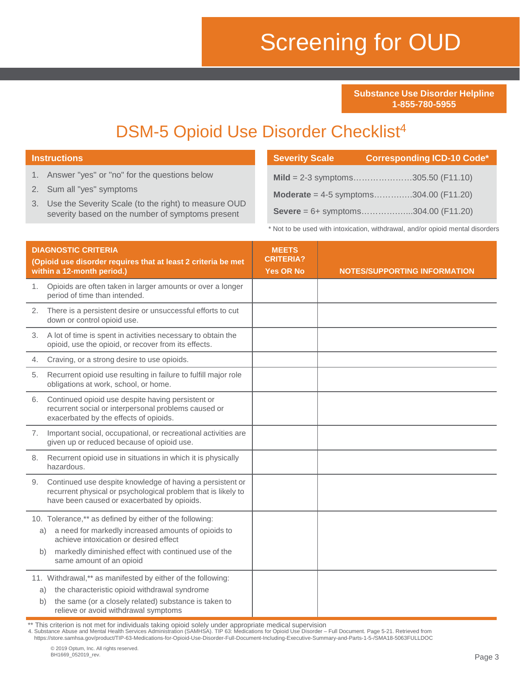# Screening for OUD

**Severity Scale Corresponding ICD-10 Code\***

**Substance Use Disorder Helpline 1-855-780-5955**

## DSM-5 Opioid Use Disorder Checklist<sup>4</sup>

|          | 1. Answer "yes" or "no" for the questions below                                                                                                                                                                                                       |                                      | Mild = 2-3 symptoms305.50 (F11.10)                                             |
|----------|-------------------------------------------------------------------------------------------------------------------------------------------------------------------------------------------------------------------------------------------------------|--------------------------------------|--------------------------------------------------------------------------------|
| 2.<br>3. | Sum all "yes" symptoms<br>Use the Severity Scale (to the right) to measure OUD                                                                                                                                                                        |                                      | <b>Moderate</b> = 4-5 symptoms304.00 (F11.20)                                  |
|          | severity based on the number of symptoms present                                                                                                                                                                                                      |                                      | Severe = $6+$ symptoms304.00 (F11.20)                                          |
|          |                                                                                                                                                                                                                                                       |                                      | * Not to be used with intoxication, withdrawal, and/or opioid mental disorders |
|          | <b>DIAGNOSTIC CRITERIA</b>                                                                                                                                                                                                                            | <b>MEETS</b>                         |                                                                                |
|          | (Opioid use disorder requires that at least 2 criteria be met<br>within a 12-month period.)                                                                                                                                                           | <b>CRITERIA?</b><br><b>Yes OR No</b> | <b>NOTES/SUPPORTING INFORMATION</b>                                            |
| 1.       | Opioids are often taken in larger amounts or over a longer<br>period of time than intended.                                                                                                                                                           |                                      |                                                                                |
| 2.       | There is a persistent desire or unsuccessful efforts to cut<br>down or control opioid use.                                                                                                                                                            |                                      |                                                                                |
|          | 3. A lot of time is spent in activities necessary to obtain the<br>opioid, use the opioid, or recover from its effects.                                                                                                                               |                                      |                                                                                |
| 4.       | Craving, or a strong desire to use opioids.                                                                                                                                                                                                           |                                      |                                                                                |
| 5.       | Recurrent opioid use resulting in failure to fulfill major role<br>obligations at work, school, or home.                                                                                                                                              |                                      |                                                                                |
| 6.       | Continued opioid use despite having persistent or<br>recurrent social or interpersonal problems caused or<br>exacerbated by the effects of opioids.                                                                                                   |                                      |                                                                                |
|          | 7. Important social, occupational, or recreational activities are<br>given up or reduced because of opioid use.                                                                                                                                       |                                      |                                                                                |
|          | 8. Recurrent opioid use in situations in which it is physically<br>hazardous.                                                                                                                                                                         |                                      |                                                                                |
| 9.       | Continued use despite knowledge of having a persistent or<br>recurrent physical or psychological problem that is likely to<br>have been caused or exacerbated by opioids.                                                                             |                                      |                                                                                |
|          | 10. Tolerance,** as defined by either of the following:<br>a need for markedly increased amounts of opioids to<br>a)<br>achieve intoxication or desired effect<br>b) markedly diminished effect with continued use of the<br>same amount of an opioid |                                      |                                                                                |
|          | 11. Withdrawal,** as manifested by either of the following:<br>the characteristic opioid withdrawal syndrome<br>a)<br>the same (or a closely related) substance is taken to<br>b)<br>relieve or avoid withdrawal symptoms                             |                                      |                                                                                |

**Instructions**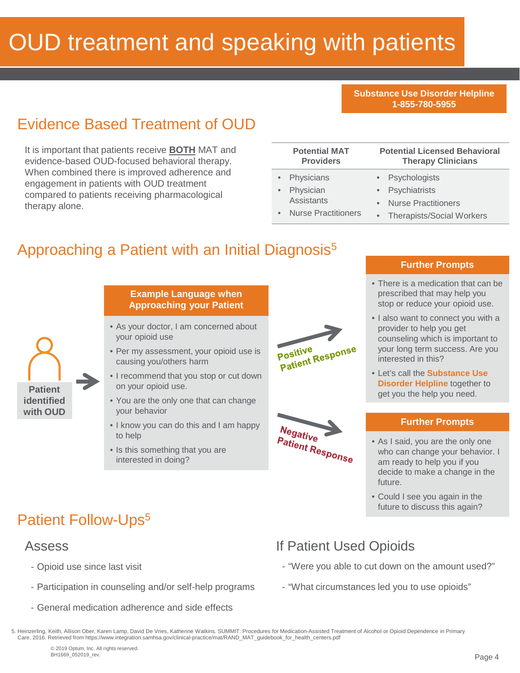# OUD treatment and speaking with patients

**Substance Use Disorder Helpline 1-855-780-5955**

## Evidence Based Treatment of OUD

It is important that patients receive **BOTH** MAT and evidence-based OUD-focused behavioral therapy. When combined there is improved adherence and engagement in patients with OUD treatment compared to patients receiving pharmacological therapy alone.

| <b>Potential MAT</b><br><b>Providers</b>                            |           | <b>Potential Licensed Behavioral</b><br><b>Therapy Clinicians</b>                               |
|---------------------------------------------------------------------|-----------|-------------------------------------------------------------------------------------------------|
| Physicians<br>Physician<br>Assistants<br><b>Nurse Practitioners</b> | $\bullet$ | • Psychologists<br>• Psychiatrists<br><b>Nurse Practitioners</b><br>• Therapists/Social Workers |
|                                                                     |           |                                                                                                 |

#### Approaching a Patient with an Initial Diagnosis<sup>5</sup>



#### **Example Language when Approaching your Patient**

- As your doctor, I am concerned about your opioid use
- Per my assessment, your opioid use is causing you/others harm
- I recommend that you stop or cut down on your opioid use.
- You are the only one that can change your behavior
- I know you can do this and I am happy to help
- Is this something that you are interested in doing?



Negative

**Patient Response** 

#### **Further Prompts**

- There is a medication that can be prescribed that may help you stop or reduce your opioid use.
- I also want to connect you with a provider to help you get counseling which is important to your long term success. Are you interested in this?
- Let's call the **Substance Use Disorder Helpline** together to get you the help you need.

#### **Further Prompts**

• As I said, you are the only one who can change your behavior. I am ready to help you if you decide to make a change in the future.

• Could I see you again in the future to discuss this again?

## Patient Follow-Ups<sup>5</sup>

#### Assess

- Opioid use since last visit
- Participation in counseling and/or self-help programs
- General medication adherence and side effects

## If Patient Used Opioids

- "Were you able to cut down on the amount used?"
- "What circumstances led you to use opioids"

5. Heinzerling, Keith, Allison Ober, Karen Lamp, David De Vries, Katherine Watkins. SUMMIT: Procedures for Medication-Assisted Treatment of Alcohol or Opioid Dependence in Primary Care. 2016. Retrieved from https://www.integration.samhsa.gov/clinical-practice/mat/RAND\_MAT\_guidebook\_for\_health\_centers.pdf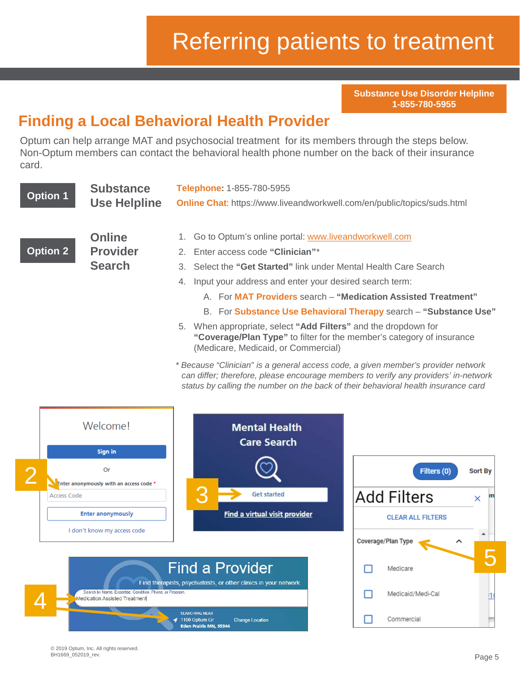# Referring patients to treatment

**Substance Use Disorder Helpline 1-855-780-5955**

## **Finding a Local Behavioral Health Provider**

Optum can help arrange MAT and psychosocial treatment for its members through the steps below. Non-Optum members can contact the behavioral health phone number on the back of their insurance card.

| <b>Option 1</b> | <b>Substance</b><br><b>Use Helpline</b>           | Telephone: 1-855-780-5955<br><b>Online Chat:</b> https://www.liveandworkwell.com/en/public/topics/suds.html                                                                                                                                                                                                                                                                                                                                                                                                      |
|-----------------|---------------------------------------------------|------------------------------------------------------------------------------------------------------------------------------------------------------------------------------------------------------------------------------------------------------------------------------------------------------------------------------------------------------------------------------------------------------------------------------------------------------------------------------------------------------------------|
| <b>Option 2</b> | <b>Online</b><br><b>Provider</b><br><b>Search</b> | Go to Optum's online portal: www.liveandworkwell.com<br>2. Enter access code "Clinician"*<br>3. Select the "Get Started" link under Mental Health Care Search<br>Input your address and enter your desired search term:<br>4.<br>A. For MAT Providers search - "Medication Assisted Treatment"<br>B. For Substance Use Behavioral Therapy search - "Substance Use"<br>When appropriate, select "Add Filters" and the dropdown for<br>5.<br>"Coverage/Plan Type" to filter for the member's category of insurance |
|                 |                                                   | (Medicare, Medicaid, or Commercial)<br>* Because "Clinician" is a general access code, a given member's provider network<br>can differ; therefore, please encourage members to verify any providers' in-network<br>status by calling the number on the back of their behavioral health insurance card                                                                                                                                                                                                            |